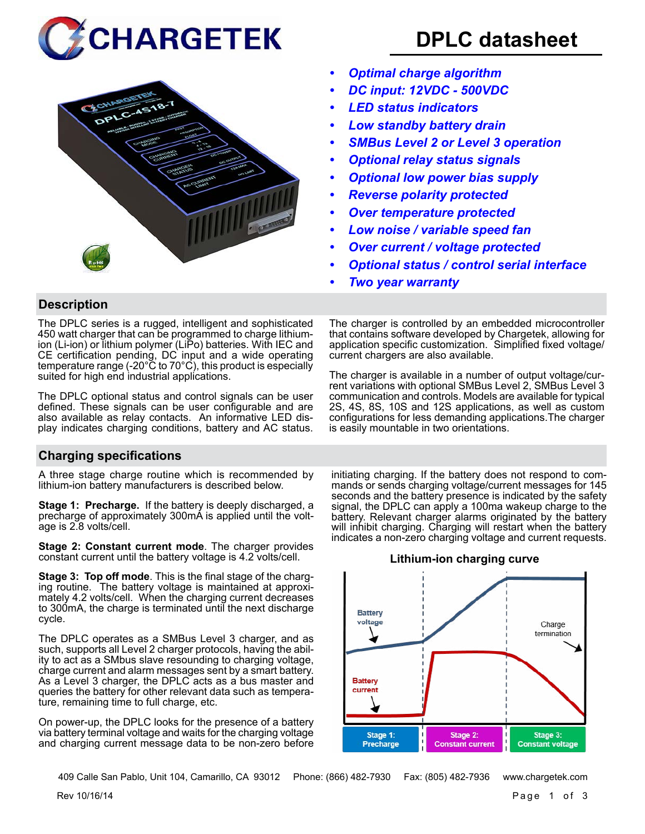



# **DPLC datasheet**

- *• Optimal charge algorithm*
- *• DC input: 12VDC 500VDC*
- *• LED status indicators*
- *• Low standby battery drain*
- *• SMBus Level 2 or Level 3 operation*
- *• Optional relay status signals*
- *• Optional low power bias supply*
- *• Reverse polarity protected*
- *• Over temperature protected*
- *• Low noise / variable speed fan*
- *• Over current / voltage protected*
- *• Optional status / control serial interface*
- *• Two year warranty*

# **Description**

The DPLC series is a rugged, intelligent and sophisticated 450 watt charger that can be programmed to charge lithiumion (Li-ion) or lithium polymer (LiPo) batteries. With IEC and CE certification pending, DC input and a wide operating temperature range (-20°C to 70°C), this product is especially suited for high end industrial applications.

The DPLC optional status and control signals can be user defined. These signals can be user configurable and are also available as relay contacts. An informative LED display indicates charging conditions, battery and AC status.

**Charging specifications**

A three stage charge routine which is recommended by lithium-ion battery manufacturers is described below.

**Stage 1: Precharge.** If the battery is deeply discharged, a precharge of approximately 300mA is applied until the voltage is 2.8 volts/cell.

**Stage 2: Constant current mode**. The charger provides constant current until the battery voltage is 4.2 volts/cell.

**Stage 3: Top off mode**. This is the final stage of the charging routine. The battery voltage is maintained at approximately 4.2 volts/cell. When the charging current decreases to 300mA, the charge is terminated until the next discharge cycle.

The DPLC operates as a SMBus Level 3 charger, and as such, supports all Level 2 charger protocols, having the ability to act as a SMbus slave resounding to charging voltage, charge current and alarm messages sent by a smart battery. As a Level 3 charger, the DPLC acts as a bus master and queries the battery for other relevant data such as temperature, remaining time to full charge, etc.

On power-up, the DPLC looks for the presence of a battery via battery terminal voltage and waits for the charging voltage and charging current message data to be non-zero before application specific customization. Simplified fixed voltage/ current chargers are also available. The charger is available in a number of output voltage/current variations with optional SMBus Level 2, SMBus Level 3

The charger is controlled by an embedded microcontroller that contains software developed by Chargetek, allowing for

communication and controls. Models are available for typical 2S, 4S, 8S, 10S and 12S applications, as well as custom configurations for less demanding applications.The charger is easily mountable in two orientations.

initiating charging. If the battery does not respond to commands or sends charging voltage/current messages for 145 seconds and the battery presence is indicated by the safety signal, the DPLC can apply a 100ma wakeup charge to the battery. Relevant charger alarms originated by the battery will inhibit charging. Charging will restart when the battery indicates a non-zero charging voltage and current requests.

### **Lithium-ion charging curve**



409 Calle San Pablo, Unit 104, Camarillo, CA 93012 Phone: (866) 482-7930 Fax: (805) 482-7936 www.chargetek.com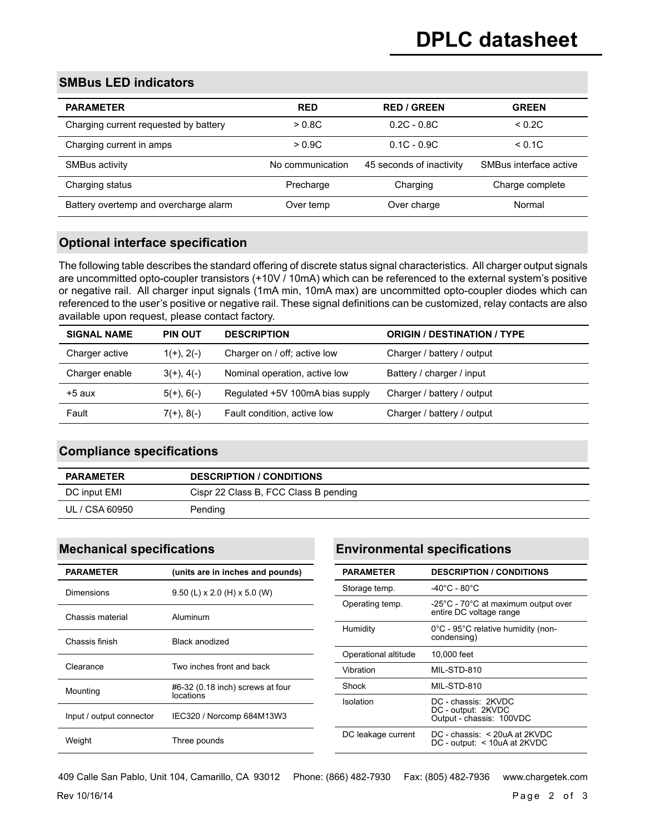## **SMBus LED indicators**

| <b>PARAMETER</b>                      | <b>RED</b>       | <b>RED / GREEN</b>       | <b>GREEN</b>           |
|---------------------------------------|------------------|--------------------------|------------------------|
| Charging current requested by battery | > 0.8C           | $0.2C - 0.8C$            | < 0.2C                 |
| Charging current in amps              | > 0.9C           | $0.1C - 0.9C$            | < 0.1C                 |
| SMBus activity                        | No communication | 45 seconds of inactivity | SMBus interface active |
| Charging status                       | Precharge        | Charging                 | Charge complete        |
| Battery overtemp and overcharge alarm | Over temp        | Over charge              | Normal                 |

## **Optional interface specification**

The following table describes the standard offering of discrete status signal characteristics. All charger output signals are uncommitted opto-coupler transistors (+10V / 10mA) which can be referenced to the external system's positive or negative rail. All charger input signals (1mA min, 10mA max) are uncommitted opto-coupler diodes which can referenced to the user's positive or negative rail. These signal definitions can be customized, relay contacts are also available upon request, please contact factory.

| <b>PIN OUT</b>  | <b>DESCRIPTION</b>              | <b>ORIGIN / DESTINATION / TYPE</b> |
|-----------------|---------------------------------|------------------------------------|
| $1(+)$ , $2(-)$ | Charger on / off; active low    | Charger / battery / output         |
| $3(+)$ , 4(-)   | Nominal operation, active low   | Battery / charger / input          |
| $5(+)$ , 6(-)   | Regulated +5V 100mA bias supply | Charger / battery / output         |
| $7(+)$ , 8(-)   | Fault condition, active low     | Charger / battery / output         |
|                 |                                 |                                    |

### **Compliance specifications**

| <b>PARAMETER</b> | <b>DESCRIPTION / CONDITIONS</b>       |
|------------------|---------------------------------------|
| DC input EMI     | Cispr 22 Class B, FCC Class B pending |
| UL / CSA 60950   | Pending                               |

### **Mechanical specifications**

| <b>PARAMETER</b>         | (units are in inches and pounds)              |
|--------------------------|-----------------------------------------------|
| Dimensions               | $9.50$ (L) x 2.0 (H) x 5.0 (W)                |
| Chassis material         | Aluminum                                      |
| Chassis finish           | Black anodized                                |
| Clearance                | Two inches front and back                     |
| Mounting                 | #6-32 (0.18 inch) screws at four<br>locations |
| Input / output connector | IEC320 / Norcomp 684M13W3                     |
| Weight                   | Three pounds                                  |

# **Environmental specifications**

| <b>PARAMETER</b>     | <b>DESCRIPTION / CONDITIONS</b>                                               |
|----------------------|-------------------------------------------------------------------------------|
| Storage temp.        | $-40^{\circ}$ C - 80 $^{\circ}$ C                                             |
| Operating temp.      | -25°C - 70°C at maximum output over<br>entire DC voltage range                |
| Humidity             | 0°C - 95°C relative humidity (non-<br>condensing)                             |
| Operational altitude | 10,000 feet                                                                   |
| Vibration            | MIL-STD-810                                                                   |
| Shock                | MIL-STD-810                                                                   |
| Isolation            | DC - chassis: 2KVDC<br>DC - output: 2KVDC<br>Output - chassis: 100VDC         |
| DC leakage current   | $DC - \text{chassis}: < 20uA$ at 2KVDC<br>$DC$ - output: $\leq$ 10uA at 2KVDC |

 $\frac{1}{2}$  Rev 10/16/14 Page 2 of 3 409 Calle San Pablo, Unit 104, Camarillo, CA 93012 Phone: (866) 482-7930 Fax: (805) 482-7936 www.chargetek.com